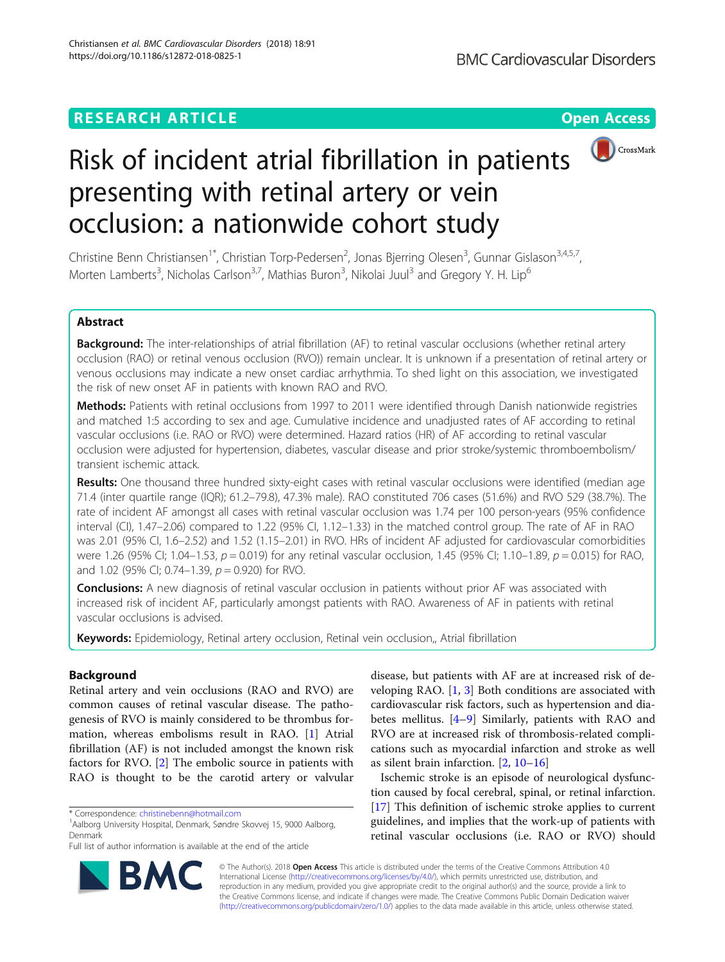## **RESEARCH ARTICLE Example 2018 12:30 THE Open Access**



# Risk of incident atrial fibrillation in patients presenting with retinal artery or vein occlusion: a nationwide cohort study

Christine Benn Christiansen<sup>1\*</sup>, Christian Torp-Pedersen<sup>2</sup>, Jonas Bjerring Olesen<sup>3</sup>, Gunnar Gislason<sup>3,4,5,7</sup>, Morten Lamberts<sup>3</sup>, Nicholas Carlson<sup>3,7</sup>, Mathias Buron<sup>3</sup>, Nikolai Juul<sup>3</sup> and Gregory Y. H. Lip<sup>6</sup>

## Abstract

Background: The inter-relationships of atrial fibrillation (AF) to retinal vascular occlusions (whether retinal artery occlusion (RAO) or retinal venous occlusion (RVO)) remain unclear. It is unknown if a presentation of retinal artery or venous occlusions may indicate a new onset cardiac arrhythmia. To shed light on this association, we investigated the risk of new onset AF in patients with known RAO and RVO.

Methods: Patients with retinal occlusions from 1997 to 2011 were identified through Danish nationwide registries and matched 1:5 according to sex and age. Cumulative incidence and unadjusted rates of AF according to retinal vascular occlusions (i.e. RAO or RVO) were determined. Hazard ratios (HR) of AF according to retinal vascular occlusion were adjusted for hypertension, diabetes, vascular disease and prior stroke/systemic thromboembolism/ transient ischemic attack.

Results: One thousand three hundred sixty-eight cases with retinal vascular occlusions were identified (median age 71.4 (inter quartile range (IQR); 61.2–79.8), 47.3% male). RAO constituted 706 cases (51.6%) and RVO 529 (38.7%). The rate of incident AF amongst all cases with retinal vascular occlusion was 1.74 per 100 person-years (95% confidence interval (CI), 1.47–2.06) compared to 1.22 (95% CI, 1.12–1.33) in the matched control group. The rate of AF in RAO was 2.01 (95% CI, 1.6–2.52) and 1.52 (1.15–2.01) in RVO. HRs of incident AF adjusted for cardiovascular comorbidities were 1.26 (95% CI; 1.04–1.53,  $p = 0.019$ ) for any retinal vascular occlusion, 1.45 (95% CI; 1.10–1.89,  $p = 0.015$ ) for RAO, and 1.02 (95% CI; 0.74–1.39,  $p = 0.920$ ) for RVO.

**Conclusions:** A new diagnosis of retinal vascular occlusion in patients without prior AF was associated with increased risk of incident AF, particularly amongst patients with RAO. Awareness of AF in patients with retinal vascular occlusions is advised.

Keywords: Epidemiology, Retinal artery occlusion, Retinal vein occlusion,, Atrial fibrillation

## Background

Retinal artery and vein occlusions (RAO and RVO) are common causes of retinal vascular disease. The pathogenesis of RVO is mainly considered to be thrombus formation, whereas embolisms result in RAO. [[1\]](#page-7-0) Atrial fibrillation (AF) is not included amongst the known risk factors for RVO. [[2\]](#page-7-0) The embolic source in patients with RAO is thought to be the carotid artery or valvular

disease, but patients with AF are at increased risk of developing RAO. [[1](#page-7-0), [3](#page-7-0)] Both conditions are associated with cardiovascular risk factors, such as hypertension and diabetes mellitus. [[4](#page-7-0)–[9](#page-7-0)] Similarly, patients with RAO and RVO are at increased risk of thrombosis-related complications such as myocardial infarction and stroke as well as silent brain infarction. [[2,](#page-7-0) [10](#page-7-0)–[16](#page-7-0)]

Ischemic stroke is an episode of neurological dysfunction caused by focal cerebral, spinal, or retinal infarction. [[17\]](#page-7-0) This definition of ischemic stroke applies to current guidelines, and implies that the work-up of patients with retinal vascular occlusions (i.e. RAO or RVO) should



<sup>\*</sup> Correspondence: [christinebenn@hotmail.com](mailto:christinebenn@hotmail.com) <sup>1</sup>

<sup>&</sup>lt;sup>1</sup> Aalborg University Hospital, Denmark, Søndre Skovvej 15, 9000 Aalborg, Denmark

Full list of author information is available at the end of the article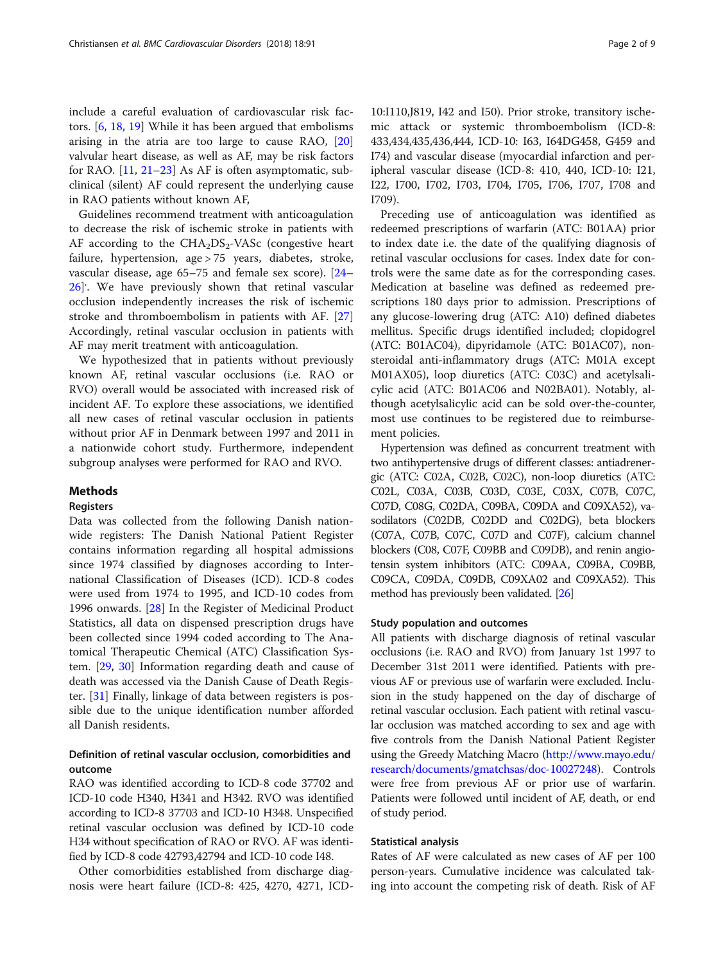include a careful evaluation of cardiovascular risk factors. [[6,](#page-7-0) [18,](#page-7-0) [19\]](#page-7-0) While it has been argued that embolisms arising in the atria are too large to cause RAO, [[20](#page-7-0)] valvular heart disease, as well as AF, may be risk factors for RAO. [[11,](#page-7-0) [21](#page-7-0)–[23](#page-7-0)] As AF is often asymptomatic, subclinical (silent) AF could represent the underlying cause in RAO patients without known AF,

Guidelines recommend treatment with anticoagulation to decrease the risk of ischemic stroke in patients with AF according to the  $CHA<sub>2</sub>DS<sub>2</sub>$ -VASc (congestive heart failure, hypertension, age > 75 years, diabetes, stroke, vascular disease, age 65–75 and female sex score). [[24](#page-7-0)– [26\]](#page-7-0)<sup>'</sup>. We have previously shown that retinal vascular occlusion independently increases the risk of ischemic stroke and thromboembolism in patients with AF. [[27](#page-7-0)] Accordingly, retinal vascular occlusion in patients with AF may merit treatment with anticoagulation.

We hypothesized that in patients without previously known AF, retinal vascular occlusions (i.e. RAO or RVO) overall would be associated with increased risk of incident AF. To explore these associations, we identified all new cases of retinal vascular occlusion in patients without prior AF in Denmark between 1997 and 2011 in a nationwide cohort study. Furthermore, independent subgroup analyses were performed for RAO and RVO.

## Methods

## Registers

Data was collected from the following Danish nationwide registers: The Danish National Patient Register contains information regarding all hospital admissions since 1974 classified by diagnoses according to International Classification of Diseases (ICD). ICD-8 codes were used from 1974 to 1995, and ICD-10 codes from 1996 onwards. [[28](#page-7-0)] In the Register of Medicinal Product Statistics, all data on dispensed prescription drugs have been collected since 1994 coded according to The Anatomical Therapeutic Chemical (ATC) Classification System. [[29,](#page-7-0) [30\]](#page-7-0) Information regarding death and cause of death was accessed via the Danish Cause of Death Register. [\[31](#page-7-0)] Finally, linkage of data between registers is possible due to the unique identification number afforded all Danish residents.

## Definition of retinal vascular occlusion, comorbidities and outcome

RAO was identified according to ICD-8 code 37702 and ICD-10 code H340, H341 and H342. RVO was identified according to ICD-8 37703 and ICD-10 H348. Unspecified retinal vascular occlusion was defined by ICD-10 code H34 without specification of RAO or RVO. AF was identified by ICD-8 code 42793,42794 and ICD-10 code I48.

Other comorbidities established from discharge diagnosis were heart failure (ICD-8: 425, 4270, 4271, ICD-

10:I110,J819, I42 and I50). Prior stroke, transitory ischemic attack or systemic thromboembolism (ICD-8: 433,434,435,436,444, ICD-10: I63, I64DG458, G459 and I74) and vascular disease (myocardial infarction and peripheral vascular disease (ICD-8: 410, 440, ICD-10: I21, I22, I700, I702, I703, I704, I705, I706, I707, I708 and I709).

Preceding use of anticoagulation was identified as redeemed prescriptions of warfarin (ATC: B01AA) prior to index date i.e. the date of the qualifying diagnosis of retinal vascular occlusions for cases. Index date for controls were the same date as for the corresponding cases. Medication at baseline was defined as redeemed prescriptions 180 days prior to admission. Prescriptions of any glucose-lowering drug (ATC: A10) defined diabetes mellitus. Specific drugs identified included; clopidogrel (ATC: B01AC04), dipyridamole (ATC: B01AC07), nonsteroidal anti-inflammatory drugs (ATC: M01A except M01AX05), loop diuretics (ATC: C03C) and acetylsalicylic acid (ATC: B01AC06 and N02BA01). Notably, although acetylsalicylic acid can be sold over-the-counter, most use continues to be registered due to reimbursement policies.

Hypertension was defined as concurrent treatment with two antihypertensive drugs of different classes: antiadrenergic (ATC: C02A, C02B, C02C), non-loop diuretics (ATC: C02L, C03A, C03B, C03D, C03E, C03X, C07B, C07C, C07D, C08G, C02DA, C09BA, C09DA and C09XA52), vasodilators (C02DB, C02DD and C02DG), beta blockers (C07A, C07B, C07C, C07D and C07F), calcium channel blockers (C08, C07F, C09BB and C09DB), and renin angiotensin system inhibitors (ATC: C09AA, C09BA, C09BB, C09CA, C09DA, C09DB, C09XA02 and C09XA52). This method has previously been validated. [\[26\]](#page-7-0)

## Study population and outcomes

All patients with discharge diagnosis of retinal vascular occlusions (i.e. RAO and RVO) from January 1st 1997 to December 31st 2011 were identified. Patients with previous AF or previous use of warfarin were excluded. Inclusion in the study happened on the day of discharge of retinal vascular occlusion. Each patient with retinal vascular occlusion was matched according to sex and age with five controls from the Danish National Patient Register using the Greedy Matching Macro ([http://www.mayo.edu/](http://www.mayo.edu/research/documents/gmatchsas/doc-10027248) [research/documents/gmatchsas/doc-10027248\)](http://www.mayo.edu/research/documents/gmatchsas/doc-10027248). Controls were free from previous AF or prior use of warfarin. Patients were followed until incident of AF, death, or end of study period.

## Statistical analysis

Rates of AF were calculated as new cases of AF per 100 person-years. Cumulative incidence was calculated taking into account the competing risk of death. Risk of AF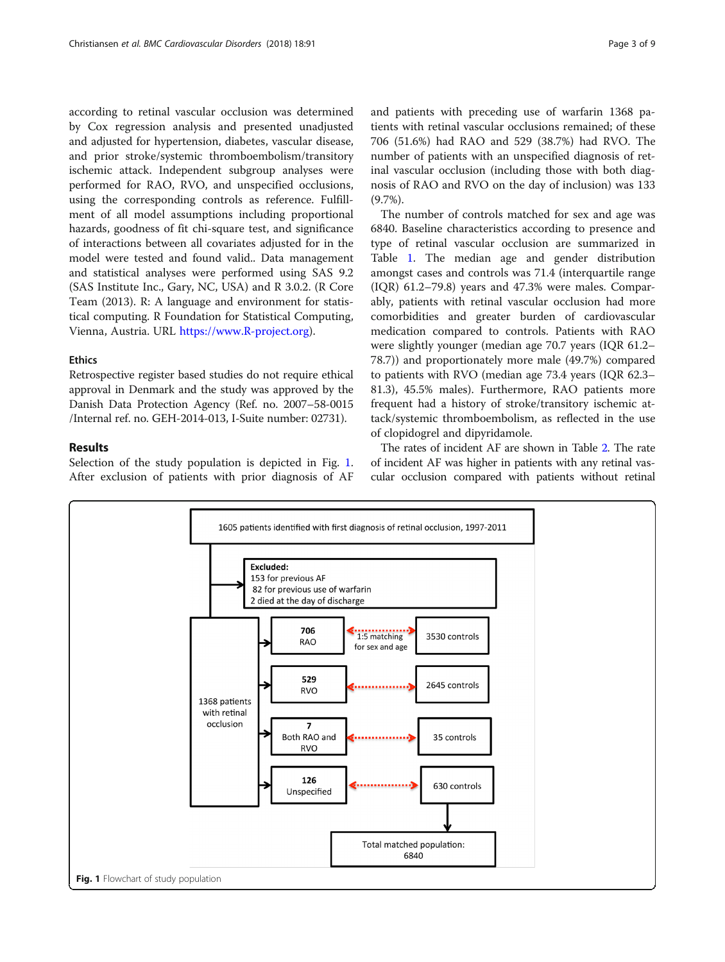according to retinal vascular occlusion was determined by Cox regression analysis and presented unadjusted and adjusted for hypertension, diabetes, vascular disease, and prior stroke/systemic thromboembolism/transitory ischemic attack. Independent subgroup analyses were performed for RAO, RVO, and unspecified occlusions, using the corresponding controls as reference. Fulfillment of all model assumptions including proportional hazards, goodness of fit chi-square test, and significance of interactions between all covariates adjusted for in the model were tested and found valid.. Data management and statistical analyses were performed using SAS 9.2 (SAS Institute Inc., Gary, NC, USA) and R 3.0.2. (R Core Team (2013). R: A language and environment for statistical computing. R Foundation for Statistical Computing, Vienna, Austria. URL [https://www.R-project.org\)](https://www.r-project.org).

## **Ethics**

Retrospective register based studies do not require ethical approval in Denmark and the study was approved by the Danish Data Protection Agency (Ref. no. 2007–58-0015 /Internal ref. no. GEH-2014-013, I-Suite number: 02731).

## Results

Selection of the study population is depicted in Fig. 1. After exclusion of patients with prior diagnosis of AF and patients with preceding use of warfarin 1368 patients with retinal vascular occlusions remained; of these 706 (51.6%) had RAO and 529 (38.7%) had RVO. The number of patients with an unspecified diagnosis of retinal vascular occlusion (including those with both diagnosis of RAO and RVO on the day of inclusion) was 133 (9.7%).

The number of controls matched for sex and age was 6840. Baseline characteristics according to presence and type of retinal vascular occlusion are summarized in Table [1](#page-3-0). The median age and gender distribution amongst cases and controls was 71.4 (interquartile range (IQR) 61.2–79.8) years and 47.3% were males. Comparably, patients with retinal vascular occlusion had more comorbidities and greater burden of cardiovascular medication compared to controls. Patients with RAO were slightly younger (median age 70.7 years (IQR 61.2– 78.7)) and proportionately more male (49.7%) compared to patients with RVO (median age 73.4 years (IQR 62.3– 81.3), 45.5% males). Furthermore, RAO patients more frequent had a history of stroke/transitory ischemic attack/systemic thromboembolism, as reflected in the use of clopidogrel and dipyridamole.

The rates of incident AF are shown in Table [2](#page-3-0). The rate of incident AF was higher in patients with any retinal vascular occlusion compared with patients without retinal

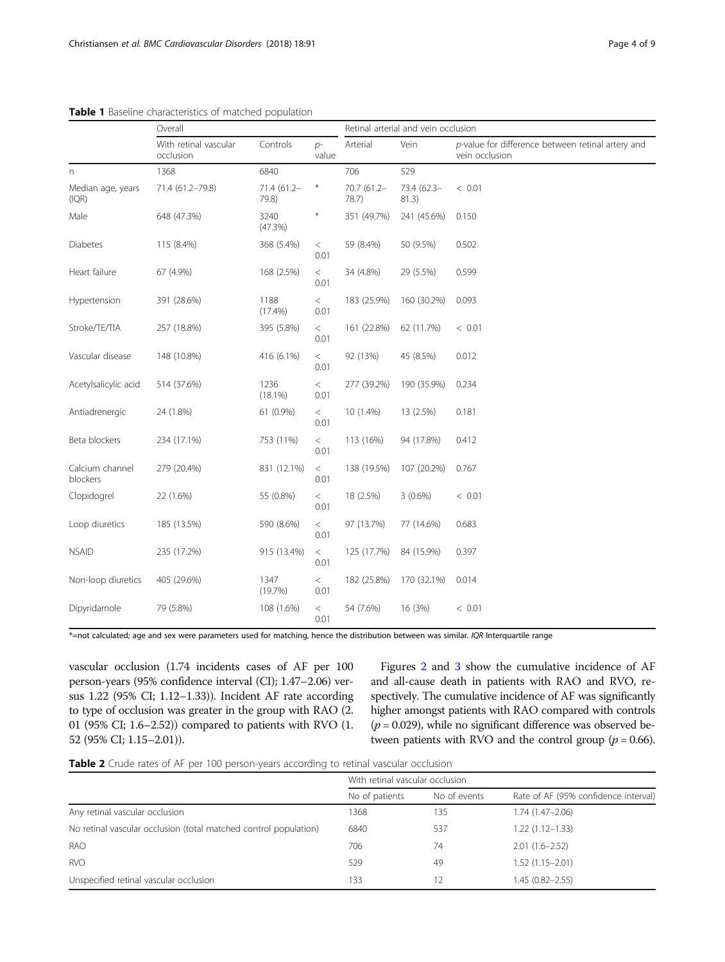|                             | Overall                            |                      |                 | Retinal arterial and vein occlusion |                      |                                                                     |  |
|-----------------------------|------------------------------------|----------------------|-----------------|-------------------------------------|----------------------|---------------------------------------------------------------------|--|
|                             | With retinal vascular<br>occlusion | Controls             | $p-$<br>value   | Arterial                            | Vein                 | p-value for difference between retinal artery and<br>vein occlusion |  |
| n                           | 1368                               | 6840                 |                 | 706                                 | 529                  |                                                                     |  |
| Median age, years<br>(IQR)  | 71.4 (61.2-79.8)                   | 71.4 (61.2-<br>79.8) | $\ast$          | 70.7 (61.2-<br>78.7)                | 73.4 (62.3-<br>81.3) | < 0.01                                                              |  |
| Male                        | 648 (47.3%)                        | 3240<br>(47.3%)      | $\ast$          | 351 (49.7%)                         | 241 (45.6%)          | 0.150                                                               |  |
| Diabetes                    | 115 (8.4%)                         | 368 (5.4%)           | $\,<\,$<br>0.01 | 59 (8.4%)                           | 50 (9.5%)            | 0.502                                                               |  |
| Heart failure               | 67 (4.9%)                          | 168 (2.5%)           | $\,<\,$<br>0.01 | 34 (4.8%)                           | 29 (5.5%)            | 0.599                                                               |  |
| Hypertension                | 391 (28.6%)                        | 1188<br>(17.4%)      | $\,<\,$<br>0.01 | 183 (25.9%)                         | 160 (30.2%)          | 0.093                                                               |  |
| Stroke/TE/TIA               | 257 (18.8%)                        | 395 (5.8%)           | $\,<\,$<br>0.01 | 161 (22.8%)                         | 62 (11.7%)           | < 0.01                                                              |  |
| Vascular disease            | 148 (10.8%)                        | 416 (6.1%)           | $\,<\,$<br>0.01 | 92 (13%)                            | 45 (8.5%)            | 0.012                                                               |  |
| Acetylsalicylic acid        | 514 (37.6%)                        | 1236<br>$(18.1\%)$   | $\,<$<br>0.01   | 277 (39.2%)                         | 190 (35.9%)          | 0.234                                                               |  |
| Antiadrenergic              | 24 (1.8%)                          | 61 (0.9%)            | $\,<\,$<br>0.01 | 10 (1.4%)                           | 13 (2.5%)            | 0.181                                                               |  |
| Beta blockers               | 234 (17.1%)                        | 753 (11%)            | $\,<\,$<br>0.01 | 113 (16%)                           | 94 (17.8%)           | 0.412                                                               |  |
| Calcium channel<br>blockers | 279 (20.4%)                        | 831 (12.1%)          | $\,<\,$<br>0.01 | 138 (19.5%)                         | 107 (20.2%)          | 0.767                                                               |  |
| Clopidogrel                 | 22 (1.6%)                          | 55 (0.8%)            | $\,<$<br>0.01   | 18 (2.5%)                           | $3(0.6\%)$           | < 0.01                                                              |  |
| Loop diuretics              | 185 (13.5%)                        | 590 (8.6%)           | $\,<\,$<br>0.01 | 97 (13.7%)                          | 77 (14.6%)           | 0.683                                                               |  |
| <b>NSAID</b>                | 235 (17.2%)                        | 915 (13.4%)          | $\,<\,$<br>0.01 | 125 (17.7%)                         | 84 (15.9%)           | 0.397                                                               |  |
| Non-loop diuretics          | 405 (29.6%)                        | 1347<br>(19.7%)      | $\,<$<br>0.01   | 182 (25.8%)                         | 170 (32.1%)          | 0.014                                                               |  |
| Dipyridamole                | 79 (5.8%)                          | 108 (1.6%)           | $\,<\,$<br>0.01 | 54 (7.6%)                           | 16 (3%)              | < 0.01                                                              |  |

## <span id="page-3-0"></span>Table 1 Baseline characteristics of matched population

\*=not calculated; age and sex were parameters used for matching, hence the distribution between was similar. IQR Interquartile range

vascular occlusion (1.74 incidents cases of AF per 100 person-years (95% confidence interval (CI); 1.47–2.06) versus 1.22 (95% CI; 1.12–1.33)). Incident AF rate according to type of occlusion was greater in the group with RAO (2. 01 (95% CI; 1.6–2.52)) compared to patients with RVO (1. 52 (95% CI; 1.15–2.01)).

Figures [2](#page-4-0) and [3](#page-5-0) show the cumulative incidence of AF and all-cause death in patients with RAO and RVO, respectively. The cumulative incidence of AF was significantly higher amongst patients with RAO compared with controls  $(p = 0.029)$ , while no significant difference was observed between patients with RVO and the control group ( $p = 0.66$ ).

| Table 2 Crude rates of AF per 100 person-years according to retinal vascular occlusion |  |
|----------------------------------------------------------------------------------------|--|
|----------------------------------------------------------------------------------------|--|

|                                                                  | With retinal vascular occlusion |              |                                      |  |  |  |
|------------------------------------------------------------------|---------------------------------|--------------|--------------------------------------|--|--|--|
|                                                                  | No of patients                  | No of events | Rate of AF (95% confidence interval) |  |  |  |
| Any retinal vascular occlusion                                   | 1368                            | 135          | $1.74(1.47 - 2.06)$                  |  |  |  |
| No retinal vascular occlusion (total matched control population) | 6840                            | 537          | $1.22(1.12 - 1.33)$                  |  |  |  |
| <b>RAO</b>                                                       | 706                             | 74           | $2.01(1.6 - 2.52)$                   |  |  |  |
| <b>RVO</b>                                                       | 529                             | 49           | $1.52(1.15 - 2.01)$                  |  |  |  |
| Unspecified retinal vascular occlusion                           | 133                             |              | $1.45(0.82 - 2.55)$                  |  |  |  |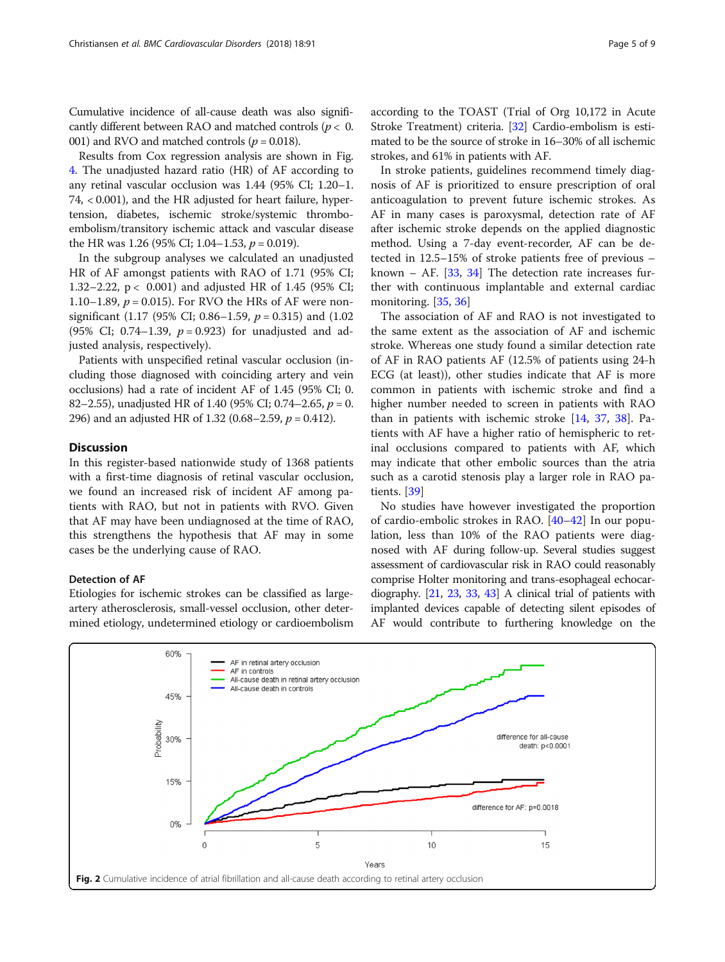<span id="page-4-0"></span>Cumulative incidence of all-cause death was also significantly different between RAO and matched controls ( $p < 0$ . 001) and RVO and matched controls ( $p = 0.018$ ).

Results from Cox regression analysis are shown in Fig. [4.](#page-5-0) The unadjusted hazard ratio (HR) of AF according to any retinal vascular occlusion was 1.44 (95% CI; 1.20–1. 74, < 0.001), and the HR adjusted for heart failure, hypertension, diabetes, ischemic stroke/systemic thromboembolism/transitory ischemic attack and vascular disease the HR was 1.26 (95% CI; 1.04–1.53,  $p = 0.019$ ).

In the subgroup analyses we calculated an unadjusted HR of AF amongst patients with RAO of 1.71 (95% CI; 1.32–2.22, p < 0.001) and adjusted HR of 1.45 (95% CI; 1.10–1.89,  $p = 0.015$ ). For RVO the HRs of AF were nonsignificant (1.17 (95% CI; 0.86–1.59,  $p = 0.315$ ) and (1.02 (95% CI; 0.74–1.39,  $p = 0.923$ ) for unadjusted and adjusted analysis, respectively).

Patients with unspecified retinal vascular occlusion (including those diagnosed with coinciding artery and vein occlusions) had a rate of incident AF of 1.45 (95% CI; 0. 82–2.55), unadjusted HR of 1.40 (95% CI; 0.74–2.65,  $p = 0$ . 296) and an adjusted HR of 1.32 (0.68–2.59,  $p = 0.412$ ).

## **Discussion**

In this register-based nationwide study of 1368 patients with a first-time diagnosis of retinal vascular occlusion, we found an increased risk of incident AF among patients with RAO, but not in patients with RVO. Given that AF may have been undiagnosed at the time of RAO, this strengthens the hypothesis that AF may in some cases be the underlying cause of RAO.

## Detection of AF

Etiologies for ischemic strokes can be classified as largeartery atherosclerosis, small-vessel occlusion, other determined etiology, undetermined etiology or cardioembolism according to the TOAST (Trial of Org 10,172 in Acute Stroke Treatment) criteria. [[32](#page-7-0)] Cardio-embolism is estimated to be the source of stroke in 16–30% of all ischemic strokes, and 61% in patients with AF.

In stroke patients, guidelines recommend timely diagnosis of AF is prioritized to ensure prescription of oral anticoagulation to prevent future ischemic strokes. As AF in many cases is paroxysmal, detection rate of AF after ischemic stroke depends on the applied diagnostic method. Using a 7-day event-recorder, AF can be detected in 12.5–15% of stroke patients free of previous – known – AF. [[33,](#page-7-0) [34\]](#page-7-0) The detection rate increases further with continuous implantable and external cardiac monitoring. [[35,](#page-7-0) [36\]](#page-7-0)

The association of AF and RAO is not investigated to the same extent as the association of AF and ischemic stroke. Whereas one study found a similar detection rate of AF in RAO patients AF (12.5% of patients using 24-h ECG (at least)), other studies indicate that AF is more common in patients with ischemic stroke and find a higher number needed to screen in patients with RAO than in patients with ischemic stroke [\[14](#page-7-0), [37,](#page-7-0) [38](#page-7-0)]. Patients with AF have a higher ratio of hemispheric to retinal occlusions compared to patients with AF, which may indicate that other embolic sources than the atria such as a carotid stenosis play a larger role in RAO patients. [[39](#page-7-0)]

No studies have however investigated the proportion of cardio-embolic strokes in RAO. [\[40](#page-7-0)–[42\]](#page-7-0) In our population, less than 10% of the RAO patients were diagnosed with AF during follow-up. Several studies suggest assessment of cardiovascular risk in RAO could reasonably comprise Holter monitoring and trans-esophageal echocardiography. [\[21,](#page-7-0) [23](#page-7-0), [33](#page-7-0), [43\]](#page-7-0) A clinical trial of patients with implanted devices capable of detecting silent episodes of AF would contribute to furthering knowledge on the

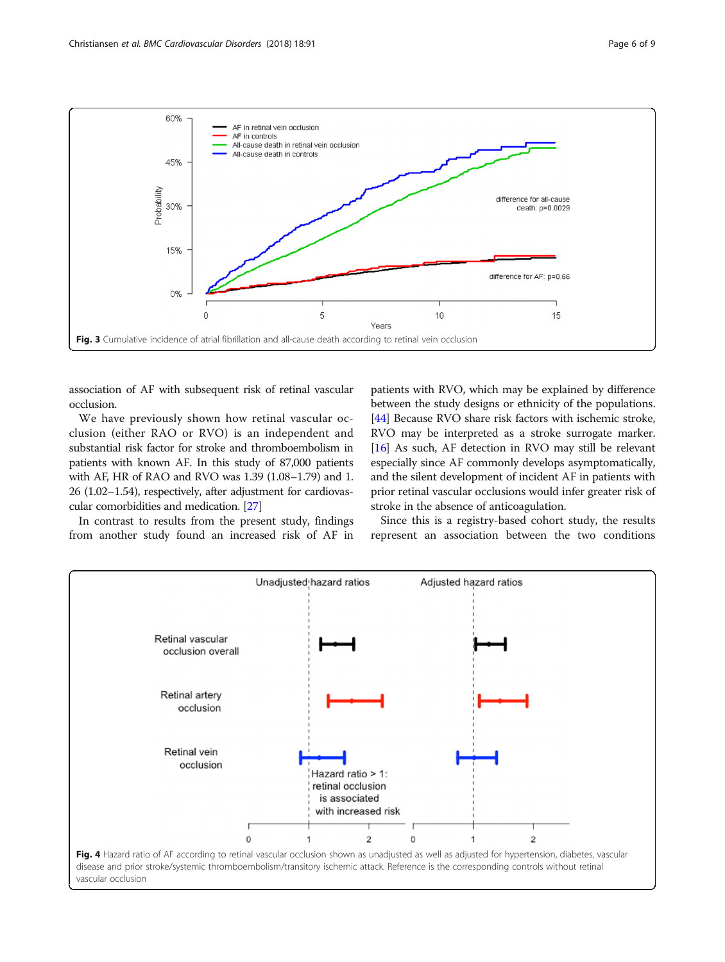<span id="page-5-0"></span>

association of AF with subsequent risk of retinal vascular occlusion.

We have previously shown how retinal vascular occlusion (either RAO or RVO) is an independent and substantial risk factor for stroke and thromboembolism in patients with known AF. In this study of 87,000 patients with AF, HR of RAO and RVO was 1.39 (1.08–1.79) and 1. 26 (1.02–1.54), respectively, after adjustment for cardiovascular comorbidities and medication. [\[27](#page-7-0)]

In contrast to results from the present study, findings from another study found an increased risk of AF in

patients with RVO, which may be explained by difference between the study designs or ethnicity of the populations. [[44](#page-7-0)] Because RVO share risk factors with ischemic stroke, RVO may be interpreted as a stroke surrogate marker. [[16](#page-7-0)] As such, AF detection in RVO may still be relevant especially since AF commonly develops asymptomatically, and the silent development of incident AF in patients with prior retinal vascular occlusions would infer greater risk of stroke in the absence of anticoagulation.

Since this is a registry-based cohort study, the results represent an association between the two conditions

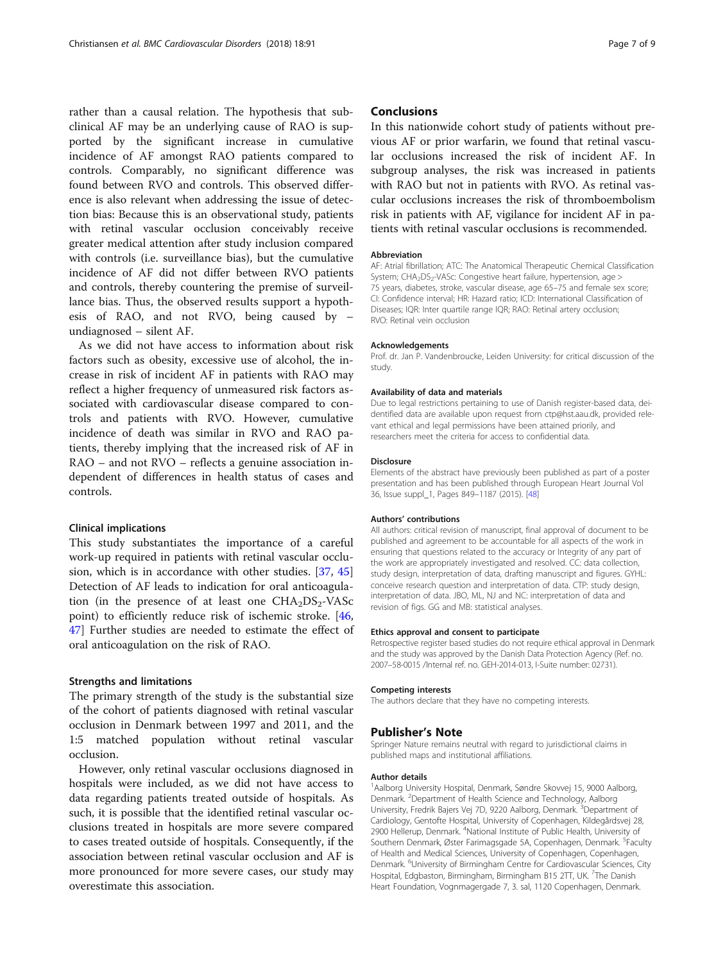rather than a causal relation. The hypothesis that subclinical AF may be an underlying cause of RAO is supported by the significant increase in cumulative incidence of AF amongst RAO patients compared to controls. Comparably, no significant difference was found between RVO and controls. This observed difference is also relevant when addressing the issue of detection bias: Because this is an observational study, patients with retinal vascular occlusion conceivably receive greater medical attention after study inclusion compared with controls (i.e. surveillance bias), but the cumulative incidence of AF did not differ between RVO patients and controls, thereby countering the premise of surveillance bias. Thus, the observed results support a hypothesis of RAO, and not RVO, being caused by – undiagnosed – silent AF.

As we did not have access to information about risk factors such as obesity, excessive use of alcohol, the increase in risk of incident AF in patients with RAO may reflect a higher frequency of unmeasured risk factors associated with cardiovascular disease compared to controls and patients with RVO. However, cumulative incidence of death was similar in RVO and RAO patients, thereby implying that the increased risk of AF in RAO – and not RVO – reflects a genuine association independent of differences in health status of cases and controls.

#### Clinical implications

This study substantiates the importance of a careful work-up required in patients with retinal vascular occlusion, which is in accordance with other studies. [\[37,](#page-7-0) [45](#page-7-0)] Detection of AF leads to indication for oral anticoagulation (in the presence of at least one  $CHA<sub>2</sub>DS<sub>2</sub>-VASC$ point) to efficiently reduce risk of ischemic stroke. [[46](#page-7-0), [47\]](#page-8-0) Further studies are needed to estimate the effect of oral anticoagulation on the risk of RAO.

## Strengths and limitations

The primary strength of the study is the substantial size of the cohort of patients diagnosed with retinal vascular occlusion in Denmark between 1997 and 2011, and the 1:5 matched population without retinal vascular occlusion.

However, only retinal vascular occlusions diagnosed in hospitals were included, as we did not have access to data regarding patients treated outside of hospitals. As such, it is possible that the identified retinal vascular occlusions treated in hospitals are more severe compared to cases treated outside of hospitals. Consequently, if the association between retinal vascular occlusion and AF is more pronounced for more severe cases, our study may overestimate this association.

## **Conclusions**

In this nationwide cohort study of patients without previous AF or prior warfarin, we found that retinal vascular occlusions increased the risk of incident AF. In subgroup analyses, the risk was increased in patients with RAO but not in patients with RVO. As retinal vascular occlusions increases the risk of thromboembolism risk in patients with AF, vigilance for incident AF in patients with retinal vascular occlusions is recommended.

#### Abbreviation

AF: Atrial fibrillation; ATC: The Anatomical Therapeutic Chemical Classification System; CHA<sub>2</sub>DS<sub>2</sub>-VASc: Congestive heart failure, hypertension, age > 75 years, diabetes, stroke, vascular disease, age 65–75 and female sex score; CI: Confidence interval; HR: Hazard ratio; ICD: International Classification of Diseases; IQR: Inter quartile range IQR; RAO: Retinal artery occlusion; RVO: Retinal vein occlusion

#### Acknowledgements

Prof. dr. Jan P. Vandenbroucke, Leiden University: for critical discussion of the study.

#### Availability of data and materials

Due to legal restrictions pertaining to use of Danish register-based data, deidentified data are available upon request from ctp@hst.aau.dk, provided relevant ethical and legal permissions have been attained priorily, and researchers meet the criteria for access to confidential data.

#### **Disclosure**

Elements of the abstract have previously been published as part of a poster presentation and has been published through European Heart Journal Vol 36, Issue suppl\_1, Pages 849–1187 (2015). [\[48](#page-8-0)]

#### Authors' contributions

All authors: critical revision of manuscript, final approval of document to be published and agreement to be accountable for all aspects of the work in ensuring that questions related to the accuracy or Integrity of any part of the work are appropriately investigated and resolved. CC: data collection, study design, interpretation of data, drafting manuscript and figures. GYHL: conceive research question and interpretation of data. CTP: study design, interpretation of data. JBO, ML, NJ and NC: interpretation of data and revision of figs. GG and MB: statistical analyses.

#### Ethics approval and consent to participate

Retrospective register based studies do not require ethical approval in Denmark and the study was approved by the Danish Data Protection Agency (Ref. no. 2007–58-0015 /Internal ref. no. GEH-2014-013, I-Suite number: 02731).

#### Competing interests

The authors declare that they have no competing interests.

## Publisher's Note

Springer Nature remains neutral with regard to jurisdictional claims in published maps and institutional affiliations.

#### Author details

1 Aalborg University Hospital, Denmark, Søndre Skovvej 15, 9000 Aalborg, Denmark. <sup>2</sup>Department of Health Science and Technology, Aalborg University, Fredrik Bajers Vej 7D, 9220 Aalborg, Denmark.<sup>3</sup> Department of Cardiology, Gentofte Hospital, University of Copenhagen, Kildegårdsvej 28, 2900 Hellerup, Denmark. <sup>4</sup>National Institute of Public Health, University of Southern Denmark, Øster Farimagsgade 5A, Copenhagen, Denmark. <sup>5</sup>Faculty of Health and Medical Sciences, University of Copenhagen, Copenhagen, Denmark. <sup>6</sup>University of Birmingham Centre for Cardiovascular Sciences, City Hospital, Edgbaston, Birmingham, Birmingham B15 2TT, UK. <sup>7</sup>The Danish Heart Foundation, Vognmagergade 7, 3. sal, 1120 Copenhagen, Denmark.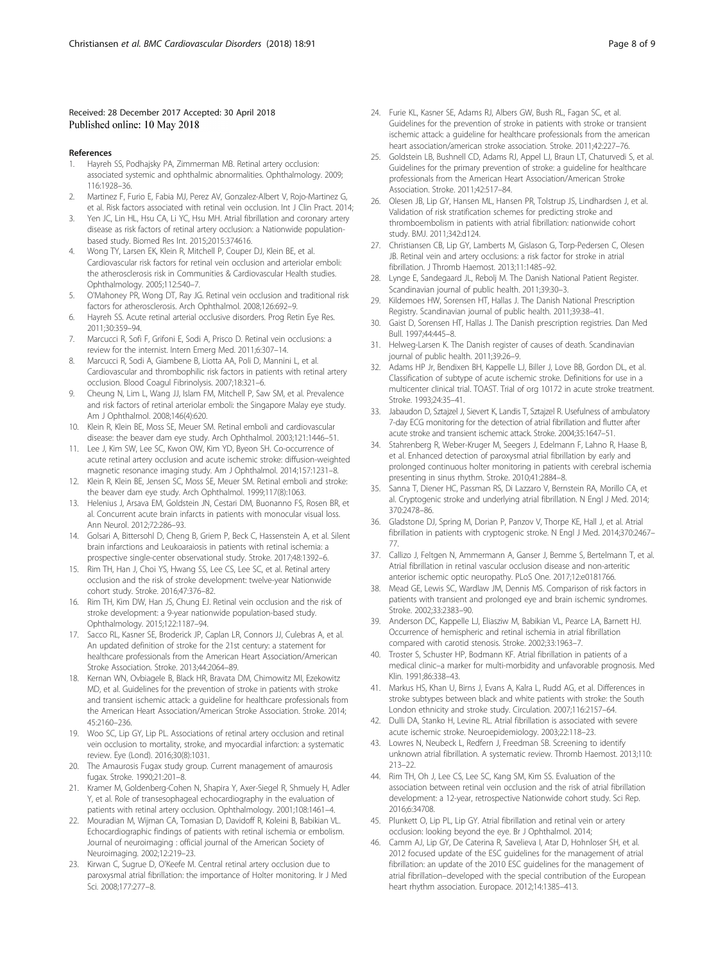## <span id="page-7-0"></span>Received: 28 December 2017 Accepted: 30 April 2018 Published online: 10 May 2018

#### References

- 1. Hayreh SS, Podhajsky PA, Zimmerman MB. Retinal artery occlusion: associated systemic and ophthalmic abnormalities. Ophthalmology. 2009; 116:1928–36.
- 2. Martinez F, Furio E, Fabia MJ, Perez AV, Gonzalez-Albert V, Rojo-Martinez G, et al. Risk factors associated with retinal vein occlusion. Int J Clin Pract. 2014;
- 3. Yen JC, Lin HL, Hsu CA, Li YC, Hsu MH. Atrial fibrillation and coronary artery disease as risk factors of retinal artery occlusion: a Nationwide populationbased study. Biomed Res Int. 2015;2015:374616.
- 4. Wong TY, Larsen EK, Klein R, Mitchell P, Couper DJ, Klein BE, et al. Cardiovascular risk factors for retinal vein occlusion and arteriolar emboli: the atherosclerosis risk in Communities & Cardiovascular Health studies. Ophthalmology. 2005;112:540–7.
- 5. O'Mahoney PR, Wong DT, Ray JG. Retinal vein occlusion and traditional risk factors for atherosclerosis. Arch Ophthalmol. 2008;126:692–9.
- 6. Hayreh SS. Acute retinal arterial occlusive disorders. Prog Retin Eye Res. 2011;30:359–94.
- 7. Marcucci R, Sofi F, Grifoni E, Sodi A, Prisco D. Retinal vein occlusions: a review for the internist. Intern Emerg Med. 2011;6:307–14.
- 8. Marcucci R, Sodi A, Giambene B, Liotta AA, Poli D, Mannini L, et al. Cardiovascular and thrombophilic risk factors in patients with retinal artery occlusion. Blood Coagul Fibrinolysis. 2007;18:321–6.
- 9. Cheung N, Lim L, Wang JJ, Islam FM, Mitchell P, Saw SM, et al. Prevalence and risk factors of retinal arteriolar emboli: the Singapore Malay eye study. Am J Ophthalmol. 2008;146(4):620.
- 10. Klein R, Klein BE, Moss SE, Meuer SM. Retinal emboli and cardiovascular disease: the beaver dam eye study. Arch Ophthalmol. 2003;121:1446–51.
- 11. Lee J, Kim SW, Lee SC, Kwon OW, Kim YD, Byeon SH. Co-occurrence of acute retinal artery occlusion and acute ischemic stroke: diffusion-weighted magnetic resonance imaging study. Am J Ophthalmol. 2014;157:1231–8.
- 12. Klein R, Klein BE, Jensen SC, Moss SE, Meuer SM. Retinal emboli and stroke: the beaver dam eye study. Arch Ophthalmol. 1999;117(8):1063.
- 13. Helenius J, Arsava EM, Goldstein JN, Cestari DM, Buonanno FS, Rosen BR, et al. Concurrent acute brain infarcts in patients with monocular visual loss. Ann Neurol. 2012;72:286–93.
- 14. Golsari A, Bittersohl D, Cheng B, Griem P, Beck C, Hassenstein A, et al. Silent brain infarctions and Leukoaraiosis in patients with retinal ischemia: a prospective single-center observational study. Stroke. 2017;48:1392–6.
- 15. Rim TH, Han J, Choi YS, Hwang SS, Lee CS, Lee SC, et al. Retinal artery occlusion and the risk of stroke development: twelve-year Nationwide cohort study. Stroke. 2016;47:376–82.
- 16. Rim TH, Kim DW, Han JS, Chung EJ. Retinal vein occlusion and the risk of stroke development: a 9-year nationwide population-based study. Ophthalmology. 2015;122:1187–94.
- 17. Sacco RL, Kasner SE, Broderick JP, Caplan LR, Connors JJ, Culebras A, et al. An updated definition of stroke for the 21st century: a statement for healthcare professionals from the American Heart Association/American Stroke Association. Stroke. 2013;44:2064–89.
- 18. Kernan WN, Ovbiagele B, Black HR, Bravata DM, Chimowitz MI, Ezekowitz MD, et al. Guidelines for the prevention of stroke in patients with stroke and transient ischemic attack: a guideline for healthcare professionals from the American Heart Association/American Stroke Association. Stroke. 2014; 45:2160–236.
- 19. Woo SC, Lip GY, Lip PL. Associations of retinal artery occlusion and retinal vein occlusion to mortality, stroke, and myocardial infarction: a systematic review. Eye (Lond). 2016;30(8):1031.
- 20. The Amaurosis Fugax study group. Current management of amaurosis fugax. Stroke. 1990;21:201–8.
- 21. Kramer M, Goldenberg-Cohen N, Shapira Y, Axer-Siegel R, Shmuely H, Adler Y, et al. Role of transesophageal echocardiography in the evaluation of patients with retinal artery occlusion. Ophthalmology. 2001;108:1461–4.
- 22. Mouradian M, Wijman CA, Tomasian D, Davidoff R, Koleini B, Babikian VL. Echocardiographic findings of patients with retinal ischemia or embolism. Journal of neuroimaging : official journal of the American Society of Neuroimaging. 2002;12:219–23.
- 23. Kirwan C, Sugrue D, O'Keefe M. Central retinal artery occlusion due to paroxysmal atrial fibrillation: the importance of Holter monitoring. Ir J Med Sci. 2008;177:277–8.
- 24. Furie KL, Kasner SE, Adams RJ, Albers GW, Bush RL, Fagan SC, et al. Guidelines for the prevention of stroke in patients with stroke or transient ischemic attack: a guideline for healthcare professionals from the american heart association/american stroke association. Stroke. 2011;42:227–76.
- 25. Goldstein LB, Bushnell CD, Adams RJ, Appel LJ, Braun LT, Chaturvedi S, et al. Guidelines for the primary prevention of stroke: a guideline for healthcare professionals from the American Heart Association/American Stroke Association. Stroke. 2011;42:517–84.
- 26. Olesen JB, Lip GY, Hansen ML, Hansen PR, Tolstrup JS, Lindhardsen J, et al. Validation of risk stratification schemes for predicting stroke and thromboembolism in patients with atrial fibrillation: nationwide cohort study. BMJ. 2011;342:d124.
- 27. Christiansen CB, Lip GY, Lamberts M, Gislason G, Torp-Pedersen C, Olesen JB. Retinal vein and artery occlusions: a risk factor for stroke in atrial fibrillation. J Thromb Haemost. 2013;11:1485–92.
- 28. Lynge E, Sandegaard JL, Rebolj M. The Danish National Patient Register. Scandinavian journal of public health. 2011;39:30–3.
- 29. Kildemoes HW, Sorensen HT, Hallas J. The Danish National Prescription Registry. Scandinavian journal of public health. 2011;39:38–41.
- 30. Gaist D, Sorensen HT, Hallas J. The Danish prescription registries. Dan Med Bull. 1997;44:445–8.
- 31. Helweg-Larsen K. The Danish register of causes of death. Scandinavian journal of public health. 2011;39:26–9.
- 32. Adams HP Jr, Bendixen BH, Kappelle LJ, Biller J, Love BB, Gordon DL, et al. Classification of subtype of acute ischemic stroke. Definitions for use in a multicenter clinical trial. TOAST. Trial of org 10172 in acute stroke treatment. Stroke. 1993;24:35–41.
- 33. Jabaudon D, Sztajzel J, Sievert K, Landis T, Sztajzel R. Usefulness of ambulatory 7-day ECG monitoring for the detection of atrial fibrillation and flutter after acute stroke and transient ischemic attack. Stroke. 2004;35:1647–51.
- 34. Stahrenberg R, Weber-Kruger M, Seegers J, Edelmann F, Lahno R, Haase B, et al. Enhanced detection of paroxysmal atrial fibrillation by early and prolonged continuous holter monitoring in patients with cerebral ischemia presenting in sinus rhythm. Stroke. 2010;41:2884–8.
- 35. Sanna T, Diener HC, Passman RS, Di Lazzaro V, Bernstein RA, Morillo CA, et al. Cryptogenic stroke and underlying atrial fibrillation. N Engl J Med. 2014; 370:2478–86.
- 36. Gladstone DJ, Spring M, Dorian P, Panzov V, Thorpe KE, Hall J, et al. Atrial fibrillation in patients with cryptogenic stroke. N Engl J Med. 2014;370:2467– 77.
- 37. Callizo J, Feltgen N, Ammermann A, Ganser J, Bemme S, Bertelmann T, et al. Atrial fibrillation in retinal vascular occlusion disease and non-arteritic anterior ischemic optic neuropathy. PLoS One. 2017;12:e0181766.
- 38. Mead GE, Lewis SC, Wardlaw JM, Dennis MS. Comparison of risk factors in patients with transient and prolonged eye and brain ischemic syndromes. Stroke. 2002;33:2383–90.
- 39. Anderson DC, Kappelle LJ, Eliasziw M, Babikian VL, Pearce LA, Barnett HJ. Occurrence of hemispheric and retinal ischemia in atrial fibrillation compared with carotid stenosis. Stroke. 2002;33:1963–7.
- 40. Troster S, Schuster HP, Bodmann KF. Atrial fibrillation in patients of a medical clinic–a marker for multi-morbidity and unfavorable prognosis. Med Klin. 1991;86:338–43.
- 41. Markus HS, Khan U, Birns J, Evans A, Kalra L, Rudd AG, et al. Differences in stroke subtypes between black and white patients with stroke: the South London ethnicity and stroke study. Circulation. 2007;116:2157–64.
- 42. Dulli DA, Stanko H, Levine RL. Atrial fibrillation is associated with severe acute ischemic stroke. Neuroepidemiology. 2003;22:118–23.
- 43. Lowres N, Neubeck L, Redfern J, Freedman SB. Screening to identify unknown atrial fibrillation. A systematic review. Thromb Haemost. 2013;110: 213–22.
- 44. Rim TH, Oh J, Lee CS, Lee SC, Kang SM, Kim SS. Evaluation of the association between retinal vein occlusion and the risk of atrial fibrillation development: a 12-year, retrospective Nationwide cohort study. Sci Rep. 2016;6:34708.
- 45. Plunkett O, Lip PL, Lip GY. Atrial fibrillation and retinal vein or artery occlusion: looking beyond the eye. Br J Ophthalmol. 2014;
- 46. Camm AJ, Lip GY, De Caterina R, Savelieva I, Atar D, Hohnloser SH, et al. 2012 focused update of the ESC guidelines for the management of atrial fibrillation: an update of the 2010 ESC guidelines for the management of atrial fibrillation–developed with the special contribution of the European heart rhythm association. Europace. 2012;14:1385–413.